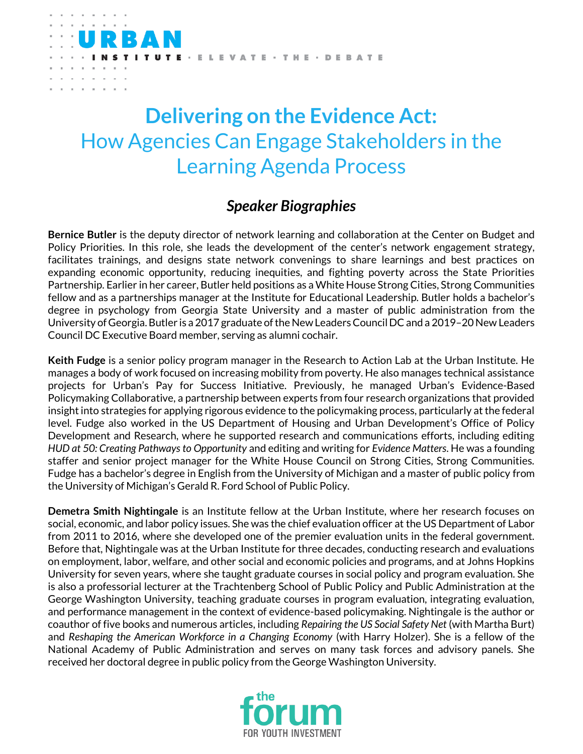

## **Delivering on the Evidence Act:**  How Agencies Can Engage Stakeholders in the Learning Agenda Process

## *Speaker Biographies*

**Bernice Butler** is the deputy director of network learning and collaboration at the Center on Budget and Policy Priorities. In this role, she leads the development of the center's network engagement strategy, facilitates trainings, and designs state network convenings to share learnings and best practices on expanding economic opportunity, reducing inequities, and fighting poverty across the State Priorities Partnership. Earlier in her career, Butler held positions as a White House Strong Cities, Strong Communities fellow and as a partnerships manager at the Institute for Educational Leadership. Butler holds a bachelor's degree in psychology from Georgia State University and a master of public administration from the University of Georgia. Butler is a 2017 graduate of the New Leaders CouncilDC and a 2019–20 New Leaders Council DC Executive Board member, serving as alumni cochair.

**Keith Fudge** is a senior policy program manager in the Research to Action Lab at the Urban Institute. He manages a body of work focused on increasing mobility from poverty. He also manages technical assistance projects for Urban's Pay for Success Initiative. Previously, he managed Urban's Evidence-Based Policymaking Collaborative, a partnership between experts from four research organizations that provided insight into strategies for applying rigorous evidence to the policymaking process, particularly at the federal level. Fudge also worked in the US Department of Housing and Urban Development's Office of Policy Development and Research, where he supported research and communications efforts, including editing *HUD at 50: Creating Pathways to Opportunity* and editing and writing for *Evidence Matters*. He was a founding staffer and senior project manager for the White House Council on Strong Cities, Strong Communities. Fudge has a bachelor's degree in English from the University of Michigan and a master of public policy from the University of Michigan's Gerald R. Ford School of Public Policy.

**Demetra Smith Nightingale** is an Institute fellow at the Urban Institute, where her research focuses on social, economic, and labor policy issues. She was the chief evaluation officer at the US Department of Labor from 2011 to 2016, where she developed one of the premier evaluation units in the federal government. Before that, Nightingale was at the Urban Institute for three decades, conducting research and evaluations on employment, labor, welfare, and other social and economic policies and programs, and at Johns Hopkins University for seven years, where she taught graduate courses in social policy and program evaluation. She is also a professorial lecturer at the Trachtenberg School of Public Policy and Public Administration at the George Washington University, teaching graduate courses in program evaluation, integrating evaluation, and performance management in the context of evidence-based policymaking. Nightingale is the author or coauthor of five books and numerous articles, including *Repairing the US Social Safety Net* (with Martha Burt) and *Reshaping the American Workforce in a Changing Economy* (with Harry Holzer). She is a fellow of the National Academy of Public Administration and serves on many task forces and advisory panels. She received her doctoral degree in public policy from the George Washington University.

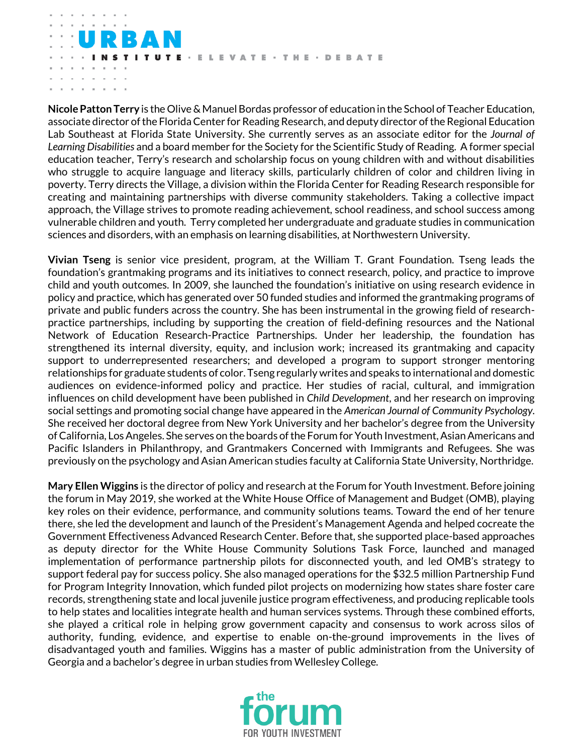TE · ELEVATE · THE · DEBATE

**Nicole Patton Terry** is the Olive & Manuel Bordas professor of education in the School of Teacher Education, associate director of the Florida Center for Reading Research, and deputy director of the Regional Education Lab Southeast at Florida State University. She currently serves as an associate editor for the *Journal of Learning Disabilities* and a board member for the Society for the Scientific Study of Reading. A former special education teacher, Terry's research and scholarship focus on young children with and without disabilities who struggle to acquire language and literacy skills, particularly children of color and children living in poverty. Terry directs the Village, a division within the Florida Center for Reading Research responsible for creating and maintaining partnerships with diverse community stakeholders. Taking a collective impact approach, the Village strives to promote reading achievement, school readiness, and school success among vulnerable children and youth. Terry completed her undergraduate and graduate studies in communication sciences and disorders, with an emphasis on learning disabilities, at Northwestern University.

**Vivian Tseng** is senior vice president, program, at the William T. Grant Foundation. Tseng leads the foundation's grantmaking programs and its initiatives to connect research, policy, and practice to improve child and youth outcomes. In 2009, she launched the foundation's initiative on using research evidence in policy and practice, which has generated over 50 funded studies and informed the grantmaking programs of private and public funders across the country. She has been instrumental in the growing field of researchpractice partnerships, including by supporting the creation of field-defining resources and the National Network of Education Research-Practice Partnerships. Under her leadership, the foundation has strengthened its internal diversity, equity, and inclusion work; increased its grantmaking and capacity support to underrepresented researchers; and developed a program to support stronger mentoring relationships for graduate students of color. Tseng regularly writes and speaks to international and domestic audiences on evidence-informed policy and practice. Her studies of racial, cultural, and immigration influences on child development have been published in *Child Development*, and her research on improving social settings and promoting social change have appeared in the *American Journal of Community Psychology*. She received her doctoral degree from New York University and her bachelor's degree from the University of California, Los Angeles. She serves on the boards of the Forum for Youth Investment, Asian Americans and Pacific Islanders in Philanthropy, and Grantmakers Concerned with Immigrants and Refugees. She was previously on the psychology and Asian American studies faculty at California State University, Northridge.

**Mary Ellen Wiggins** is the director of policy and research at the Forum for Youth Investment. Before joining the forum in May 2019, she worked at the White House Office of Management and Budget (OMB), playing key roles on their evidence, performance, and community solutions teams. Toward the end of her tenure there, she led the development and launch of the President's Management Agenda and helped cocreate the Government Effectiveness Advanced Research Center. Before that, she supported place-based approaches as deputy director for the White House Community Solutions Task Force, launched and managed implementation of performance partnership pilots for disconnected youth, and led OMB's strategy to support federal pay for success policy. She also managed operations for the \$32.5 million Partnership Fund for Program Integrity Innovation, which funded pilot projects on modernizing how states share foster care records, strengthening state and local juvenile justice program effectiveness, and producing replicable tools to help states and localities integrate health and human services systems. Through these combined efforts, she played a critical role in helping grow government capacity and consensus to work across silos of authority, funding, evidence, and expertise to enable on-the-ground improvements in the lives of disadvantaged youth and families. Wiggins has a master of public administration from the University of Georgia and a bachelor's degree in urban studies from Wellesley College.